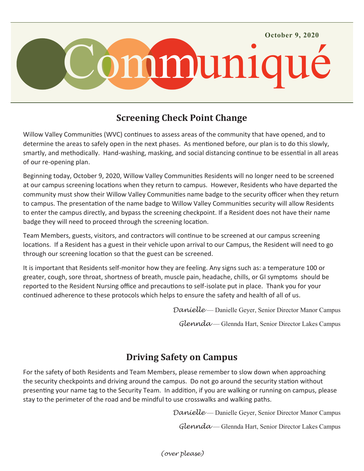

# **Screening Check Point Change**

Willow Valley Communities (WVC) continues to assess areas of the community that have opened, and to determine the areas to safely open in the next phases. As mentioned before, our plan is to do this slowly, smartly, and methodically. Hand-washing, masking, and social distancing continue to be essential in all areas of our re-opening plan.

Beginning today, October 9, 2020, Willow Valley Communities Residents will no longer need to be screened at our campus screening locations when they return to campus. However, Residents who have departed the community must show their Willow Valley Communities name badge to the security officer when they return to campus. The presentation of the name badge to Willow Valley Communities security will allow Residents to enter the campus directly, and bypass the screening checkpoint. If a Resident does not have their name badge they will need to proceed through the screening location.

Team Members, guests, visitors, and contractors will continue to be screened at our campus screening locations. If a Resident has a guest in their vehicle upon arrival to our Campus, the Resident will need to go through our screening location so that the guest can be screened.

It is important that Residents self-monitor how they are feeling. Any signs such as: a temperature 100 or greater, cough, sore throat, shortness of breath, muscle pain, headache, chills, or GI symptoms should be reported to the Resident Nursing office and precautions to self-isolate put in place. Thank you for your continued adherence to these protocols which helps to ensure the safety and health of all of us.

*Danielle* — Danielle Geyer, Senior Director Manor Campus

*Glennda* — Glennda Hart, Senior Director Lakes Campus

#### **Driving Safety on Campus**

For the safety of both Residents and Team Members, please remember to slow down when approaching the security checkpoints and driving around the campus. Do not go around the security station without presenting your name tag to the Security Team. In addition, if you are walking or running on campus, please stay to the perimeter of the road and be mindful to use crosswalks and walking paths.

*Danielle* — Danielle Geyer, Senior Director Manor Campus

*Glennda* — Glennda Hart, Senior Director Lakes Campus

*(over please)*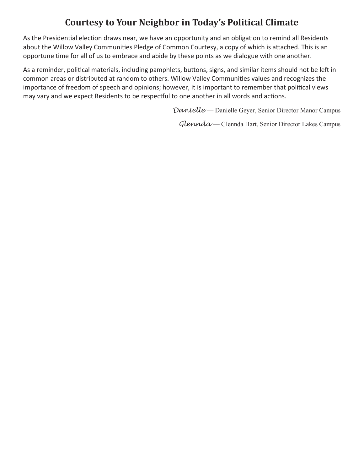### **Courtesy to Your Neighbor in Today's Political Climate**

As the Presidential election draws near, we have an opportunity and an obligation to remind all Residents about the Willow Valley Communities Pledge of Common Courtesy, a copy of which is attached. This is an opportune time for all of us to embrace and abide by these points as we dialogue with one another.

As a reminder, political materials, including pamphlets, buttons, signs, and similar items should not be left in common areas or distributed at random to others. Willow Valley Communities values and recognizes the importance of freedom of speech and opinions; however, it is important to remember that political views may vary and we expect Residents to be respectful to one another in all words and actions.

*Danielle* — Danielle Geyer, Senior Director Manor Campus

*Glennda* — Glennda Hart, Senior Director Lakes Campus